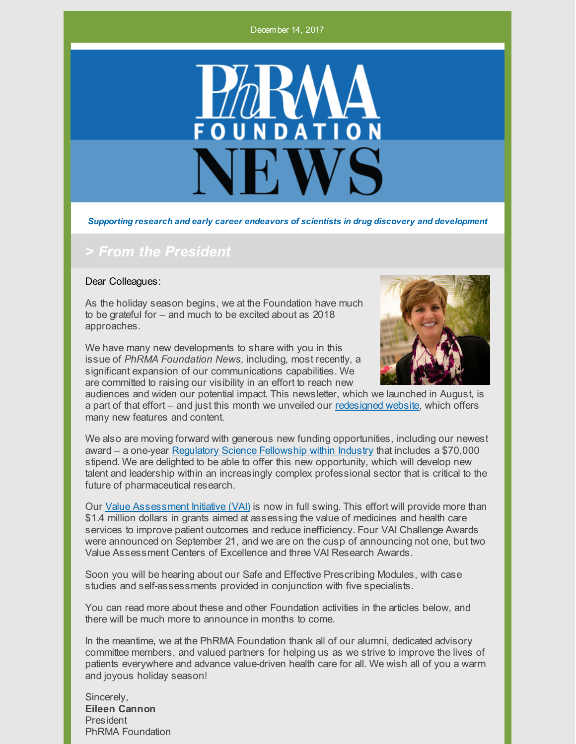December 14, 2017



*Supporting research and early career endeavors of scientists in drug discovery and development*

### *> From the President*

#### Dear Colleagues:

As the holiday season begins, we at the Foundation have much to be grateful for – and much to be excited about as 2018 approaches.

We have many new developments to share with you in this issue of *PhRMA Foundation News*, including, most recently, a significant expansion of our communications capabilities. We are committed to raising our visibility in an effort to reach new



audiences and widen our potential impact. This newsletter, which we launched in August, is a part of that effort – and just this month we unveiled our [redesigned](http://www.phrmafoundation.org/) website, which offers many new features and content.

We also are moving forward with generous new funding opportunities, including our newest award – a one-year Regulatory Science [Fellowship](http://www.phrmafoundation.org/2018-awards/other-awards/regulatory-science-fellowship/) within Industry that includes a \$70,000 stipend. We are delighted to be able to offer this new opportunity, which will develop new talent and leadership within an increasingly complex professional sector that is critical to the future of pharmaceutical research.

Our Value [Assessment](http://www.phrmafoundation.org/2018-awards/value-assessment-initiative/) Initiative (VAI) is now in full swing. This effort will provide more than \$1.4 million dollars in grants aimed at assessing the value of medicines and health care services to improve patient outcomes and reduce inefficiency. Four VAI Challenge Awards were announced on September 21, and we are on the cusp of announcing not one, but two Value Assessment Centers of Excellence and three VAI Research Awards.

Soon you will be hearing about our Safe and Effective Prescribing Modules, with case studies and self-assessments provided in conjunction with five specialists.

You can read more about these and other Foundation activities in the articles below, and there will be much more to announce in months to come.

In the meantime, we at the PhRMA Foundation thank all of our alumni, dedicated advisory committee members, and valued partners for helping us as we strive to improve the lives of patients everywhere and advance value-driven health care for all. We wish all of you a warm and joyous holiday season!

Sincerely, **Eileen Cannon** President PhRMA Foundation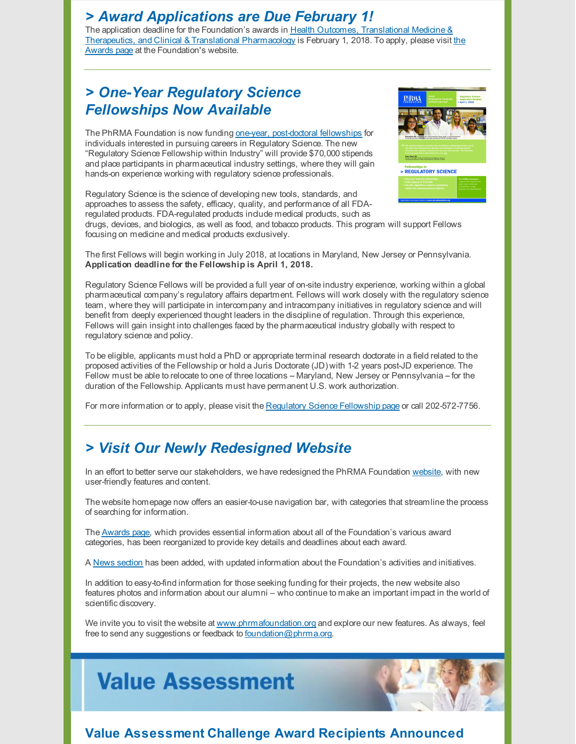### *> Award Applications are Due February 1!*

The application deadline for the Foundation's awards in Health Outcomes, Translational Medicine & Therapeutics, and Clinical & Translational [Pharmacology](http://www.phrmafoundation.org/apply-for-these-phrma-foundation-awards-no-later-than-february-1-2018/) is February 1, 2018. To apply, please visit the Awards page at the Foundation's website.

# *> One-Year Regulatory Science Fellowships Now Available*

The PhRMA Foundation is now funding one-year, [post-doctoral](http://www.phrmafoundation.org/2018-awards/other-awards/regulatory-science-fellowship/) fellowships for individuals interested in pursuing careers in Regulatory Science. The new "Regulatory Science Fellowship within Industry" will provide \$70,000 stipends and place participants in pharmaceutical industry settings, where they will gain hands-on experience working with regulatory science professionals.



Regulatory Science is the science of developing new tools, standards, and approaches to assess the safety, efficacy, quality, and performance of all FDAregulated products. FDA-regulated products include medical products, such as

drugs, devices, and biologics, as well as food, and tobacco products. This program will support Fellows focusing on medicine and medical products exclusively.

The first Fellows will begin working in July 2018, at locations in Maryland, New Jersey or Pennsylvania. **Application deadline for the Fellowship is April 1, 2018.**

Regulatory Science Fellows will be provided a full year of on-site industry experience, working within a global pharmaceutical company's regulatory affairs department. Fellows will work closely with the regulatory science team, where they will participate in intercompany and intracompany initiatives in regulatory science and will benefit from deeply experienced thought leaders in the discipline of regulation. Through this experience, Fellows will gain insight into challenges faced by the pharmaceutical industry globally with respect to regulatory science and policy.

To be eligible, applicants must hold a PhD or appropriate terminal research doctorate in a field related to the proposed activities of the Fellowship or hold a Juris Doctorate (JD) with 1-2 years post-JD experience. The Fellow must be able to relocate to one of three locations - Maryland, New Jersey or Pennsylvania -- for the duration of the Fellowship. Applicants must have permanent U.S. work authorization.

For more information or to apply, please visit the Regulatory Science [Fellowship](http://www.phrmafoundation.org/2018-awards/other-awards/regulatory-science-fellowship/) page or call 202-572-7756.

## *> Visit Our Newly Redesigned Website*

In an effort to better serve our stakeholders, we have redesigned the PhRMA Foundation [website](http://www.phrmafoundation.org/), with new user-friendly features and content.

The website homepage now offers an easier-to-use navigation bar, with categories that streamline the process of searching for information.

The [Awards](http://www.phrmafoundation.org/awards/) page, which provides essential information about all of the Foundation's various award categories, has been reorganized to provide key details and deadlines about each award.

A News [section](http://www.phrmafoundation.org/news/) has been added, with updated information about the Foundation's activities and initiatives.

In addition to easy-to-find information for those seeking funding for their projects, the new website also features photos and information about our alumni – who continue to make an important impact in the world of scientific discovery.

We invite you to visit the website at [www.phrmafoundation.org](http://www.phrmafoundation.org/) and explore our new features. As always, feel free to send any suggestions or feedback to [foundation@phrma.org](mailto:foundation@phrma.org).





### **Value Assessment Challenge Award Recipients Announced**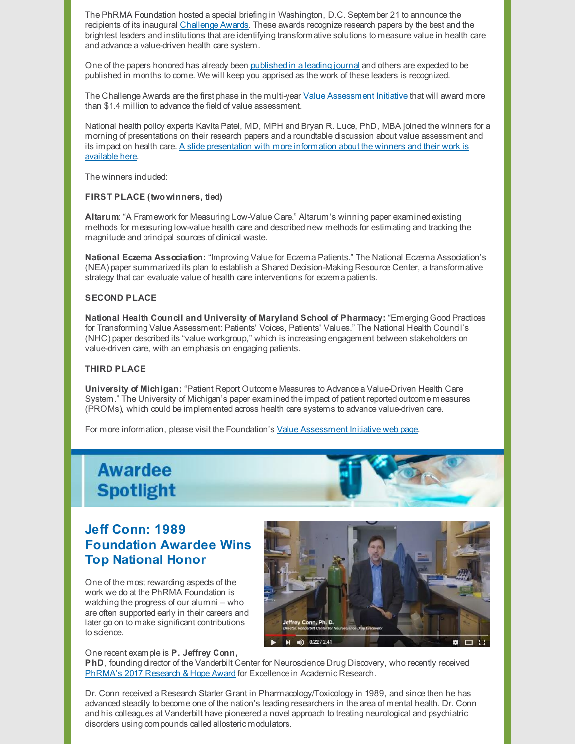The PhRMA Foundation hosted a special briefing in Washington, D.C. September 21 to announce the recipients of its inaugural [Challenge](http://www.phrmafoundation.org/wp-content/uploads/2017/12/Value-Assessment-Challenge-Awards-Two-Pager.pdf) Awards. These awards recognize research papers by the best and the brightest leaders and institutions that are identifying transformative solutions to measure value in health care and advance a value-driven health care system.

One of the papers honored has already been [published](http://www.valueinhealthjournal.com/article/S1098-3015(17)33626-4/fulltext) in a leading journal and others are expected to be published in months to come. We will keep you apprised as the work of these leaders is recognized.

The Challenge Awards are the first phase in the multi-year Value [Assessment](http://www.phrmafoundation.org/2018-awards/value-assessment-initiative/) Initiative that will award more than \$1.4 million to advance the field of value assessment.

National health policy experts Kavita Patel, MD, MPH and Bryan R. Luce, PhD, MBA joined the winners for a morning of presentations on their research papers and a roundtable discussion about value assessment and its impact on health care. A slide [presentation](http://www.phrmafoundation.org/wp-content/uploads/2017/10/VAI-Awards-Slide-Deck-for-Website.pptx) with more information about the winners and their work is available here.

The winners included:

### **FIRST PLACE (twowinners, tied)**

**Altarum**: "A Framework for Measuring Low-Value Care." Altarum's winning paper examined existing methods for measuring low-value health care and described new methods for estimating and tracking the magnitude and principal sources of clinical waste.

**National Eczema Association:** "Improving Value for Eczema Patients." The National Eczema Association's (NEA) paper summarized its plan to establish a Shared Decision-Making Resource Center, a transformative strategy that can evaluate value of health care interventions for eczema patients.

#### **SECOND PLACE**

**National Health Council and University of Maryland School of Pharmacy:** "Emerging Good Practices for Transforming Value Assessment: Patients' Voices, Patients' Values." The National Health Council's (NHC) paper described its "value workgroup," which is increasing engagement between stakeholders on value-driven care, with an emphasis on engaging patients.

#### **THIRD PLACE**

**University of Michigan:** "Patient Report Outcome Measures to Advance a Value-Driven Health Care System." The University of Michigan's paper examined the impact of patient reported outcome measures (PROMs), which could be implemented across health care systems to advance value-driven care.

For more information, please visit the Foundation's Value [Assessment](http://www.phrmafoundation.org/2018-awards/value-assessment-initiative/) Initiative web page.



### **Jeff Conn: 1989 Foundation Awardee Wins Top National Honor**

One of the most rewarding aspects of the work we do at the PhRMA Foundation is watching the progress of our alumni – who are often supported early in their careers and later go on to make significant contributions to science.



#### One recent example is **P. Jeffrey Conn,**

**PhD**, founding director of the Vanderbilt Center for Neuroscience Drug Discovery, who recently received [PhRMA's](https://www.phrma.org/event/research-and-hope-awards-2017) 2017 Research & Hope Award for Excellence in Academic Research.

Dr. Conn received a Research Starter Grant in Pharmacology/Toxicology in 1989, and since then he has advanced steadily to become one of the nation's leading researchers in the area of mental health. Dr. Conn and his colleagues at Vanderbilt have pioneered a novel approach to treating neurological and psychiatric disorders using compounds called allosteric modulators.